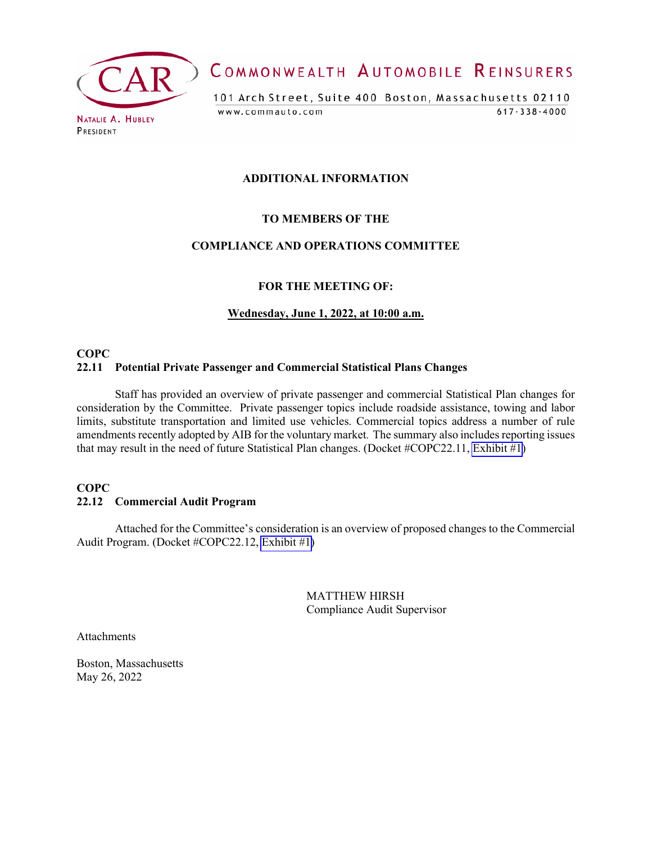

COMMONWEALTH AUTOMOBILE REINSURERS

101 Arch Street, Suite 400 Boston, Massachusetts 02110 www.commauto.com  $617 - 338 - 4000$ 

## **ADDITIONAL INFORMATION**

## **TO MEMBERS OF THE**

## **COMPLIANCE AND OPERATIONS COMMITTEE**

#### **FOR THE MEETING OF:**

#### **Wednesday, June 1, 2022, at 10:00 a.m.**

## **COPC 22.11 Potential Private Passenger and Commercial Statistical Plans Changes**

Staff has provided an overview of private passenger and commercial Statistical Plan changes for consideration by the Committee. Private passenger topics include roadside assistance, towing and labor limits, substitute transportation and limited use vehicles. Commercial topics address a number of rule amendments recently adopted by AIB for the voluntary market. The summary also includes reporting issues that may result in the need of future Statistical Plan changes. (Docket #COPC22.11, [Exhibit #1](#page-1-0))

## **COPC 22.12 Commercial Audit Program**

Attached for the Committee's consideration is an overview of proposed changes to the Commercial Audit Program. (Docket #COPC22.12, [Exhibit #1\)](#page-4-0)

> MATTHEW HIRSH Compliance Audit Supervisor

Attachments

Boston, Massachusetts May 26, 2022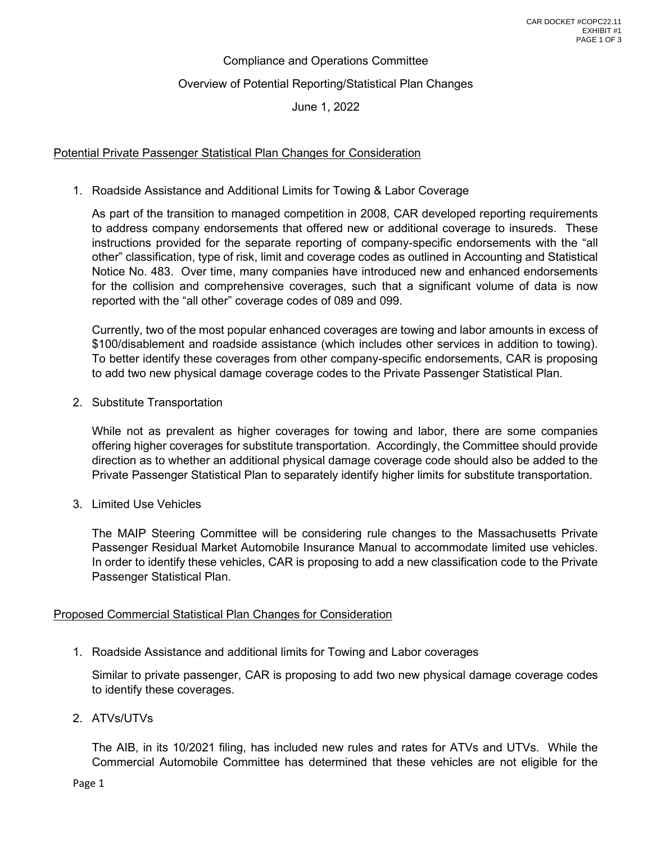# Compliance and Operations Committee Overview of Potential Reporting/Statistical Plan Changes June 1, 2022

## <span id="page-1-0"></span>Potential Private Passenger Statistical Plan Changes for Consideration

1. Roadside Assistance and Additional Limits for Towing & Labor Coverage

As part of the transition to managed competition in 2008, CAR developed reporting requirements to address company endorsements that offered new or additional coverage to insureds. These instructions provided for the separate reporting of company-specific endorsements with the "all other" classification, type of risk, limit and coverage codes as outlined in Accounting and Statistical Notice No. 483. Over time, many companies have introduced new and enhanced endorsements for the collision and comprehensive coverages, such that a significant volume of data is now reported with the "all other" coverage codes of 089 and 099.

Currently, two of the most popular enhanced coverages are towing and labor amounts in excess of \$100/disablement and roadside assistance (which includes other services in addition to towing). To better identify these coverages from other company-specific endorsements, CAR is proposing to add two new physical damage coverage codes to the Private Passenger Statistical Plan.

2. Substitute Transportation

While not as prevalent as higher coverages for towing and labor, there are some companies offering higher coverages for substitute transportation. Accordingly, the Committee should provide direction as to whether an additional physical damage coverage code should also be added to the Private Passenger Statistical Plan to separately identify higher limits for substitute transportation.

3. Limited Use Vehicles

The MAIP Steering Committee will be considering rule changes to the Massachusetts Private Passenger Residual Market Automobile Insurance Manual to accommodate limited use vehicles. In order to identify these vehicles, CAR is proposing to add a new classification code to the Private Passenger Statistical Plan.

## Proposed Commercial Statistical Plan Changes for Consideration

1. Roadside Assistance and additional limits for Towing and Labor coverages

Similar to private passenger, CAR is proposing to add two new physical damage coverage codes to identify these coverages.

2. ATVs/UTVs

The AIB, in its 10/2021 filing, has included new rules and rates for ATVs and UTVs. While the Commercial Automobile Committee has determined that these vehicles are not eligible for the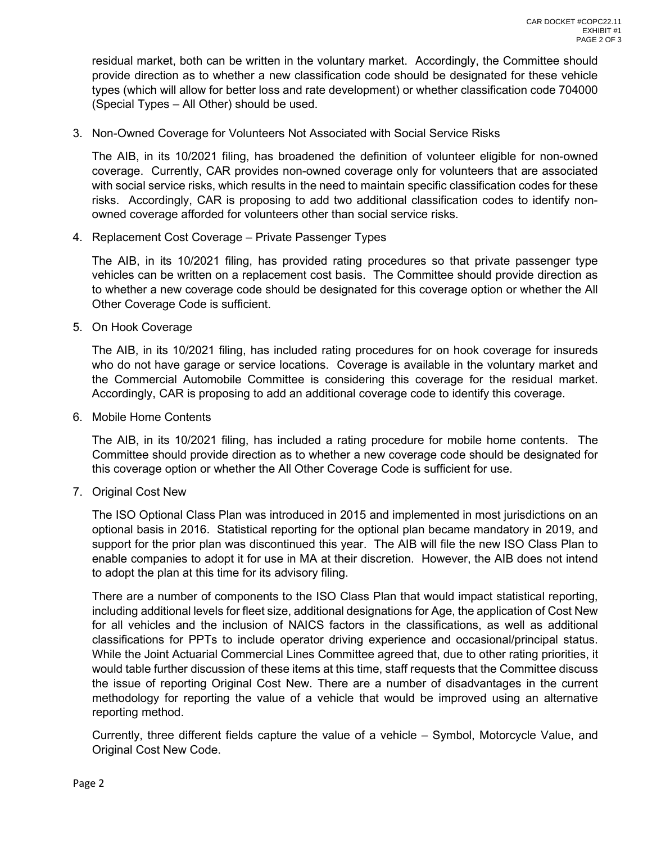residual market, both can be written in the voluntary market. Accordingly, the Committee should provide direction as to whether a new classification code should be designated for these vehicle types (which will allow for better loss and rate development) or whether classification code 704000 (Special Types – All Other) should be used.

3. Non-Owned Coverage for Volunteers Not Associated with Social Service Risks

The AIB, in its 10/2021 filing, has broadened the definition of volunteer eligible for non-owned coverage. Currently, CAR provides non-owned coverage only for volunteers that are associated with social service risks, which results in the need to maintain specific classification codes for these risks. Accordingly, CAR is proposing to add two additional classification codes to identify nonowned coverage afforded for volunteers other than social service risks.

4. Replacement Cost Coverage – Private Passenger Types

The AIB, in its 10/2021 filing, has provided rating procedures so that private passenger type vehicles can be written on a replacement cost basis. The Committee should provide direction as to whether a new coverage code should be designated for this coverage option or whether the All Other Coverage Code is sufficient.

5. On Hook Coverage

The AIB, in its 10/2021 filing, has included rating procedures for on hook coverage for insureds who do not have garage or service locations. Coverage is available in the voluntary market and the Commercial Automobile Committee is considering this coverage for the residual market. Accordingly, CAR is proposing to add an additional coverage code to identify this coverage.

6. Mobile Home Contents

The AIB, in its 10/2021 filing, has included a rating procedure for mobile home contents. The Committee should provide direction as to whether a new coverage code should be designated for this coverage option or whether the All Other Coverage Code is sufficient for use.

7. Original Cost New

The ISO Optional Class Plan was introduced in 2015 and implemented in most jurisdictions on an optional basis in 2016. Statistical reporting for the optional plan became mandatory in 2019, and support for the prior plan was discontinued this year. The AIB will file the new ISO Class Plan to enable companies to adopt it for use in MA at their discretion. However, the AIB does not intend to adopt the plan at this time for its advisory filing.

There are a number of components to the ISO Class Plan that would impact statistical reporting, including additional levels for fleet size, additional designations for Age, the application of Cost New for all vehicles and the inclusion of NAICS factors in the classifications, as well as additional classifications for PPTs to include operator driving experience and occasional/principal status. While the Joint Actuarial Commercial Lines Committee agreed that, due to other rating priorities, it would table further discussion of these items at this time, staff requests that the Committee discuss the issue of reporting Original Cost New. There are a number of disadvantages in the current methodology for reporting the value of a vehicle that would be improved using an alternative reporting method.

Currently, three different fields capture the value of a vehicle – Symbol, Motorcycle Value, and Original Cost New Code.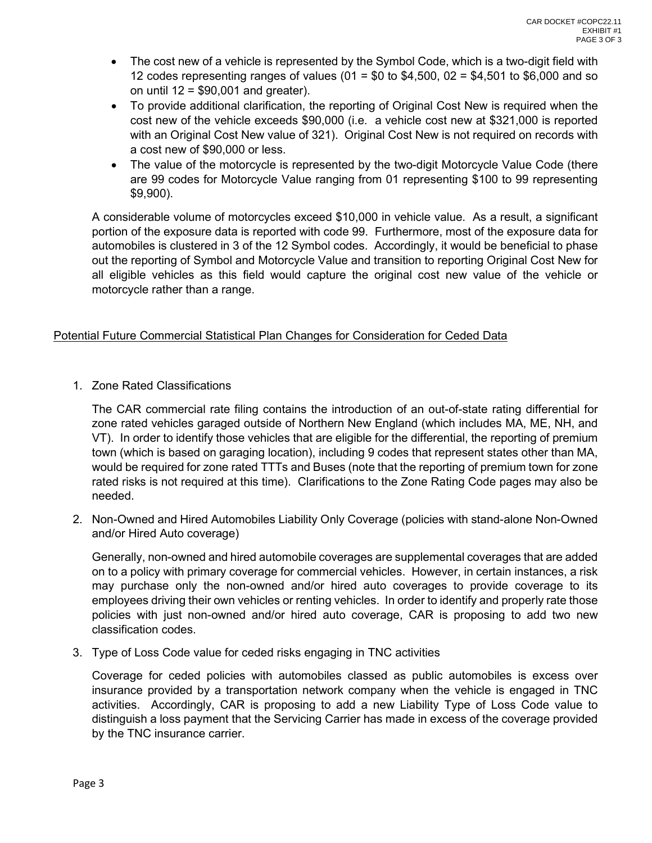- The cost new of a vehicle is represented by the Symbol Code, which is a two-digit field with 12 codes representing ranges of values (01 =  $$0$  to  $$4,500$ , 02 =  $$4,501$  to  $$6,000$  and so on until  $12 = $90,001$  and greater).
- To provide additional clarification, the reporting of Original Cost New is required when the cost new of the vehicle exceeds \$90,000 (i.e. a vehicle cost new at \$321,000 is reported with an Original Cost New value of 321). Original Cost New is not required on records with a cost new of \$90,000 or less.
- The value of the motorcycle is represented by the two-digit Motorcycle Value Code (there are 99 codes for Motorcycle Value ranging from 01 representing \$100 to 99 representing \$9,900).

A considerable volume of motorcycles exceed \$10,000 in vehicle value. As a result, a significant portion of the exposure data is reported with code 99. Furthermore, most of the exposure data for automobiles is clustered in 3 of the 12 Symbol codes. Accordingly, it would be beneficial to phase out the reporting of Symbol and Motorcycle Value and transition to reporting Original Cost New for all eligible vehicles as this field would capture the original cost new value of the vehicle or motorcycle rather than a range.

## Potential Future Commercial Statistical Plan Changes for Consideration for Ceded Data

1. Zone Rated Classifications

The CAR commercial rate filing contains the introduction of an out-of-state rating differential for zone rated vehicles garaged outside of Northern New England (which includes MA, ME, NH, and VT). In order to identify those vehicles that are eligible for the differential, the reporting of premium town (which is based on garaging location), including 9 codes that represent states other than MA, would be required for zone rated TTTs and Buses (note that the reporting of premium town for zone rated risks is not required at this time). Clarifications to the Zone Rating Code pages may also be needed.

2. Non-Owned and Hired Automobiles Liability Only Coverage (policies with stand-alone Non-Owned and/or Hired Auto coverage)

Generally, non-owned and hired automobile coverages are supplemental coverages that are added on to a policy with primary coverage for commercial vehicles. However, in certain instances, a risk may purchase only the non-owned and/or hired auto coverages to provide coverage to its employees driving their own vehicles or renting vehicles. In order to identify and properly rate those policies with just non-owned and/or hired auto coverage, CAR is proposing to add two new classification codes.

3. Type of Loss Code value for ceded risks engaging in TNC activities

Coverage for ceded policies with automobiles classed as public automobiles is excess over insurance provided by a transportation network company when the vehicle is engaged in TNC activities. Accordingly, CAR is proposing to add a new Liability Type of Loss Code value to distinguish a loss payment that the Servicing Carrier has made in excess of the coverage provided by the TNC insurance carrier.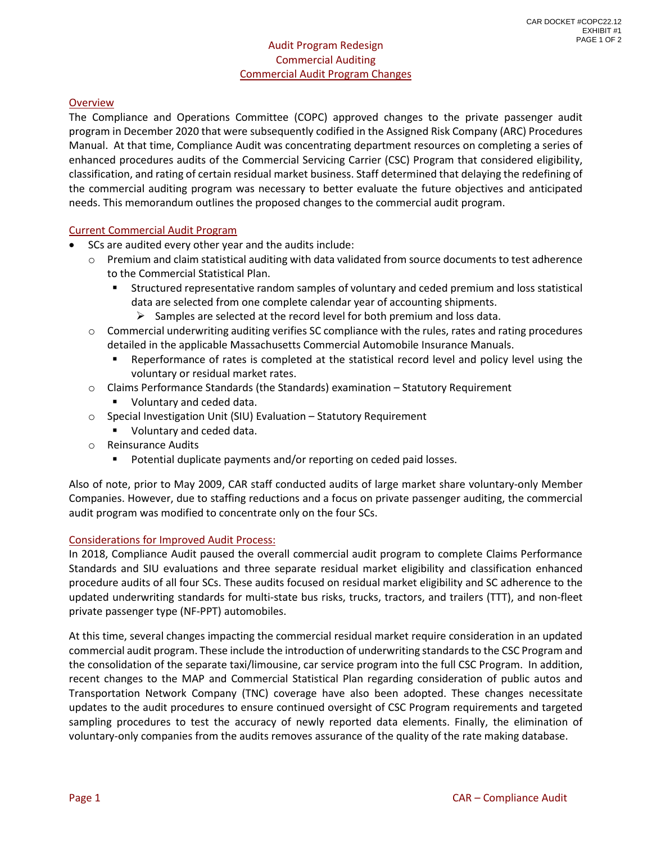## Audit Program Redesign Commercial Auditing Commercial Audit Program Changes

## <span id="page-4-0"></span>**Overview**

The Compliance and Operations Committee (COPC) approved changes to the private passenger audit program in December 2020 that were subsequently codified in the Assigned Risk Company (ARC) Procedures Manual. At that time, Compliance Audit was concentrating department resources on completing a series of enhanced procedures audits of the Commercial Servicing Carrier (CSC) Program that considered eligibility, classification, and rating of certain residual market business. Staff determined that delaying the redefining of the commercial auditing program was necessary to better evaluate the future objectives and anticipated needs. This memorandum outlines the proposed changes to the commercial audit program.

#### Current Commercial Audit Program

- SCs are audited every other year and the audits include:
	- $\circ$  Premium and claim statistical auditing with data validated from source documents to test adherence to the Commercial Statistical Plan.
		- Structured representative random samples of voluntary and ceded premium and loss statistical data are selected from one complete calendar year of accounting shipments.
			- $\triangleright$  Samples are selected at the record level for both premium and loss data.
	- $\circ$  Commercial underwriting auditing verifies SC compliance with the rules, rates and rating procedures detailed in the applicable Massachusetts Commercial Automobile Insurance Manuals.
		- Reperformance of rates is completed at the statistical record level and policy level using the voluntary or residual market rates.
	- o Claims Performance Standards (the Standards) examination Statutory Requirement
		- Voluntary and ceded data.
	- o Special Investigation Unit (SIU) Evaluation Statutory Requirement
		- **Voluntary and ceded data.**
	- o Reinsurance Audits
		- Potential duplicate payments and/or reporting on ceded paid losses.

Also of note, prior to May 2009, CAR staff conducted audits of large market share voluntary-only Member Companies. However, due to staffing reductions and a focus on private passenger auditing, the commercial audit program was modified to concentrate only on the four SCs.

#### Considerations for Improved Audit Process:

In 2018, Compliance Audit paused the overall commercial audit program to complete Claims Performance Standards and SIU evaluations and three separate residual market eligibility and classification enhanced procedure audits of all four SCs. These audits focused on residual market eligibility and SC adherence to the updated underwriting standards for multi-state bus risks, trucks, tractors, and trailers (TTT), and non-fleet private passenger type (NF-PPT) automobiles.

At this time, several changes impacting the commercial residual market require consideration in an updated commercial audit program. These include the introduction of underwriting standards to the CSC Program and the consolidation of the separate taxi/limousine, car service program into the full CSC Program. In addition, recent changes to the MAP and Commercial Statistical Plan regarding consideration of public autos and Transportation Network Company (TNC) coverage have also been adopted. These changes necessitate updates to the audit procedures to ensure continued oversight of CSC Program requirements and targeted sampling procedures to test the accuracy of newly reported data elements. Finally, the elimination of voluntary-only companies from the audits removes assurance of the quality of the rate making database.